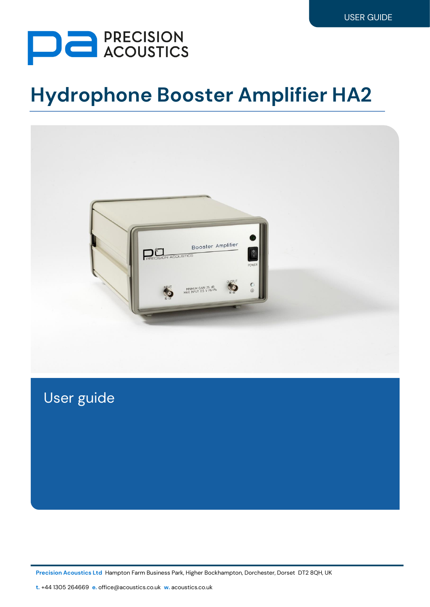

# **Hydrophone Booster Amplifier HA2**



User guide

**Precision Acoustics Ltd** Hampton Farm Business Park, Higher Bockhampton, Dorchester, Dorset DT2 8QH, UK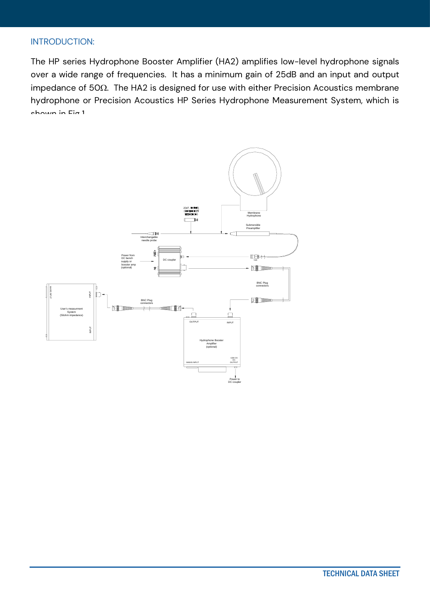#### INTRODUCTION:

The HP series Hydrophone Booster Amplifier (HA2) amplifies low-level hydrophone signals over a wide range of frequencies. It has a minimum gain of 25dB and an input and output impedance of 50 $\Omega$ . The HA2 is designed for use with either Precision Acoustics membrane hydrophone or Precision Acoustics HP Series Hydrophone Measurement System, which is  $shown$  in  $Fin$  1.

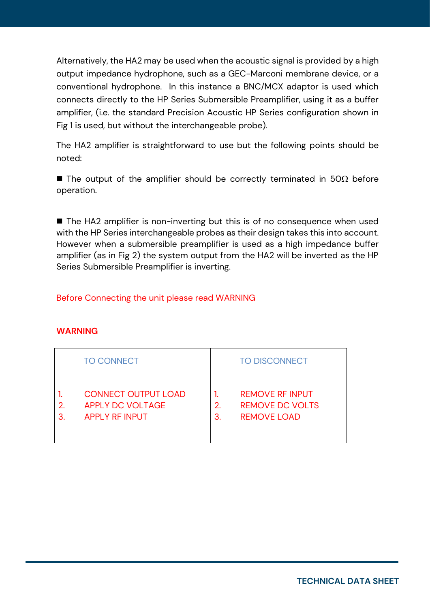Alternatively, the HA2 may be used when the acoustic signal is provided by a high output impedance hydrophone, such as a GEC-Marconi membrane device, or a conventional hydrophone. In this instance a BNC/MCX adaptor is used which connects directly to the HP Series Submersible Preamplifier, using it as a buffer amplifier, (i.e. the standard Precision Acoustic HP Series configuration shown in Fig 1 is used, but without the interchangeable probe).

The HA2 amplifier is straightforward to use but the following points should be noted:

■ The output of the amplifier should be correctly terminated in 50 $\Omega$  before operation.

■ The HA2 amplifier is non-inverting but this is of no consequence when used with the HP Series interchangeable probes as their design takes this into account. However when a submersible preamplifier is used as a high impedance buffer amplifier (as in Fig 2) the system output from the HA2 will be inverted as the HP Series Submersible Preamplifier is inverting.

### Before Connecting the unit please read WARNING

#### **WARNING**

|         | <b>TO CONNECT</b>                                                              |          | <b>TO DISCONNECT</b>                                                   |
|---------|--------------------------------------------------------------------------------|----------|------------------------------------------------------------------------|
| 2.<br>3 | <b>CONNECT OUTPUT LOAD</b><br><b>APPLY DC VOLTAGE</b><br><b>APPLY RF INPUT</b> | 2.<br>3. | <b>REMOVE RF INPUT</b><br><b>REMOVE DC VOLTS</b><br><b>REMOVE LOAD</b> |